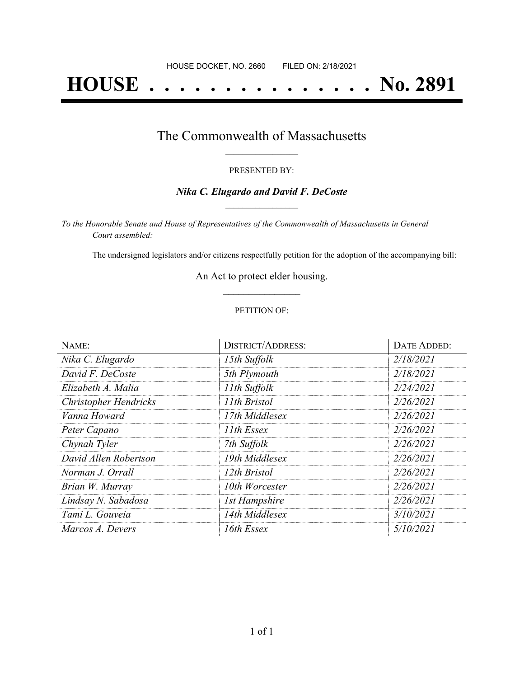# **HOUSE . . . . . . . . . . . . . . . No. 2891**

# The Commonwealth of Massachusetts **\_\_\_\_\_\_\_\_\_\_\_\_\_\_\_\_\_**

#### PRESENTED BY:

### *Nika C. Elugardo and David F. DeCoste* **\_\_\_\_\_\_\_\_\_\_\_\_\_\_\_\_\_**

*To the Honorable Senate and House of Representatives of the Commonwealth of Massachusetts in General Court assembled:*

The undersigned legislators and/or citizens respectfully petition for the adoption of the accompanying bill:

An Act to protect elder housing. **\_\_\_\_\_\_\_\_\_\_\_\_\_\_\_**

#### PETITION OF:

| NAME:                        | <b>DISTRICT/ADDRESS:</b> | DATE ADDED: |
|------------------------------|--------------------------|-------------|
| Nika C. Elugardo             | 15th Suffolk             | 2/18/2021   |
| David F. DeCoste             | 5th Plymouth             | 2/18/2021   |
| Elizabeth A. Malia           | 11th Suffolk             | 2/24/2021   |
| <b>Christopher Hendricks</b> | 11th Bristol             | 2/26/2021   |
| Vanna Howard                 | 17th Middlesex           | 2/26/2021   |
| Peter Capano                 | 11th Essex               | 2/26/2021   |
| Chynah Tyler                 | 7th Suffolk              | 2/26/2021   |
| David Allen Robertson        | 19th Middlesex           | 2/26/2021   |
| Norman J. Orrall             | 12th Bristol             | 2/26/2021   |
| Brian W. Murray              | 10th Worcester           | 2/26/2021   |
| Lindsay N. Sabadosa          | <b>1st Hampshire</b>     | 2/26/2021   |
| Tami L. Gouveia              | 14th Middlesex           | 3/10/2021   |
| Marcos A. Devers             | 16th Essex               | 5/10/2021   |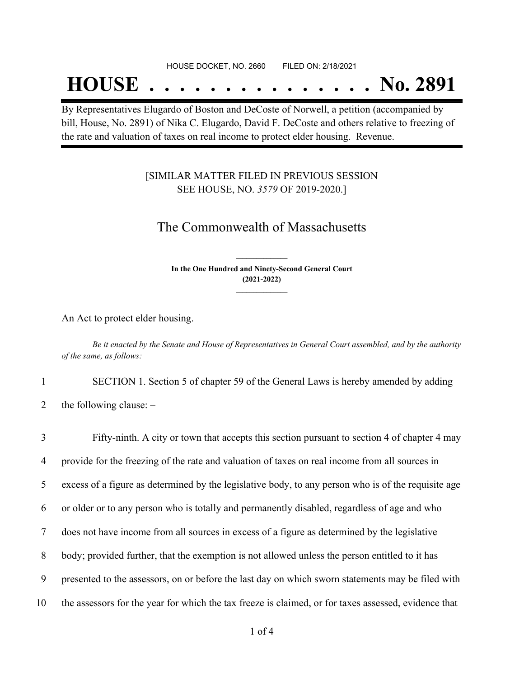#### HOUSE DOCKET, NO. 2660 FILED ON: 2/18/2021

# **HOUSE . . . . . . . . . . . . . . . No. 2891**

By Representatives Elugardo of Boston and DeCoste of Norwell, a petition (accompanied by bill, House, No. 2891) of Nika C. Elugardo, David F. DeCoste and others relative to freezing of the rate and valuation of taxes on real income to protect elder housing. Revenue.

### [SIMILAR MATTER FILED IN PREVIOUS SESSION SEE HOUSE, NO. *3579* OF 2019-2020.]

## The Commonwealth of Massachusetts

**In the One Hundred and Ninety-Second General Court (2021-2022) \_\_\_\_\_\_\_\_\_\_\_\_\_\_\_**

**\_\_\_\_\_\_\_\_\_\_\_\_\_\_\_**

An Act to protect elder housing.

Be it enacted by the Senate and House of Representatives in General Court assembled, and by the authority *of the same, as follows:*

1 SECTION 1. Section 5 of chapter 59 of the General Laws is hereby amended by adding

2 the following clause:  $-$ 

 Fifty-ninth. A city or town that accepts this section pursuant to section 4 of chapter 4 may provide for the freezing of the rate and valuation of taxes on real income from all sources in excess of a figure as determined by the legislative body, to any person who is of the requisite age or older or to any person who is totally and permanently disabled, regardless of age and who does not have income from all sources in excess of a figure as determined by the legislative body; provided further, that the exemption is not allowed unless the person entitled to it has presented to the assessors, on or before the last day on which sworn statements may be filed with the assessors for the year for which the tax freeze is claimed, or for taxes assessed, evidence that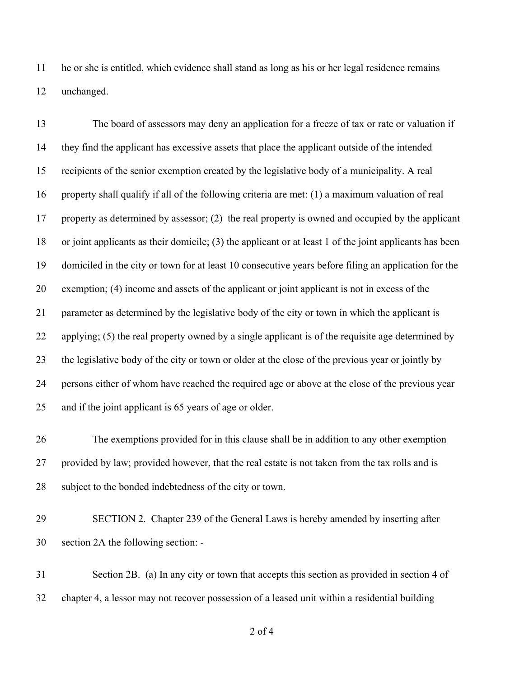he or she is entitled, which evidence shall stand as long as his or her legal residence remains unchanged.

 The board of assessors may deny an application for a freeze of tax or rate or valuation if they find the applicant has excessive assets that place the applicant outside of the intended recipients of the senior exemption created by the legislative body of a municipality. A real property shall qualify if all of the following criteria are met: (1) a maximum valuation of real property as determined by assessor; (2) the real property is owned and occupied by the applicant or joint applicants as their domicile; (3) the applicant or at least 1 of the joint applicants has been domiciled in the city or town for at least 10 consecutive years before filing an application for the exemption; (4) income and assets of the applicant or joint applicant is not in excess of the parameter as determined by the legislative body of the city or town in which the applicant is applying; (5) the real property owned by a single applicant is of the requisite age determined by the legislative body of the city or town or older at the close of the previous year or jointly by persons either of whom have reached the required age or above at the close of the previous year and if the joint applicant is 65 years of age or older.

 The exemptions provided for in this clause shall be in addition to any other exemption provided by law; provided however, that the real estate is not taken from the tax rolls and is subject to the bonded indebtedness of the city or town.

 SECTION 2. Chapter 239 of the General Laws is hereby amended by inserting after section 2A the following section: -

 Section 2B. (a) In any city or town that accepts this section as provided in section 4 of chapter 4, a lessor may not recover possession of a leased unit within a residential building

of 4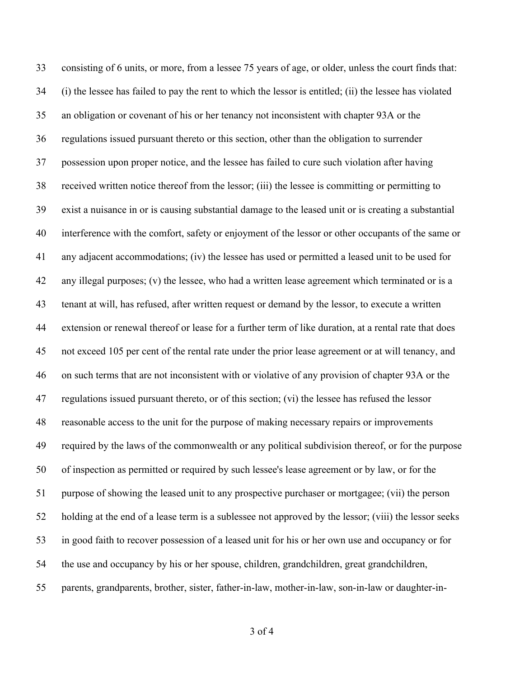consisting of 6 units, or more, from a lessee 75 years of age, or older, unless the court finds that: (i) the lessee has failed to pay the rent to which the lessor is entitled; (ii) the lessee has violated an obligation or covenant of his or her tenancy not inconsistent with chapter 93A or the regulations issued pursuant thereto or this section, other than the obligation to surrender possession upon proper notice, and the lessee has failed to cure such violation after having received written notice thereof from the lessor; (iii) the lessee is committing or permitting to exist a nuisance in or is causing substantial damage to the leased unit or is creating a substantial interference with the comfort, safety or enjoyment of the lessor or other occupants of the same or any adjacent accommodations; (iv) the lessee has used or permitted a leased unit to be used for any illegal purposes; (v) the lessee, who had a written lease agreement which terminated or is a tenant at will, has refused, after written request or demand by the lessor, to execute a written extension or renewal thereof or lease for a further term of like duration, at a rental rate that does not exceed 105 per cent of the rental rate under the prior lease agreement or at will tenancy, and on such terms that are not inconsistent with or violative of any provision of chapter 93A or the regulations issued pursuant thereto, or of this section; (vi) the lessee has refused the lessor reasonable access to the unit for the purpose of making necessary repairs or improvements required by the laws of the commonwealth or any political subdivision thereof, or for the purpose of inspection as permitted or required by such lessee's lease agreement or by law, or for the purpose of showing the leased unit to any prospective purchaser or mortgagee; (vii) the person holding at the end of a lease term is a sublessee not approved by the lessor; (viii) the lessor seeks in good faith to recover possession of a leased unit for his or her own use and occupancy or for the use and occupancy by his or her spouse, children, grandchildren, great grandchildren, parents, grandparents, brother, sister, father-in-law, mother-in-law, son-in-law or daughter-in-

of 4